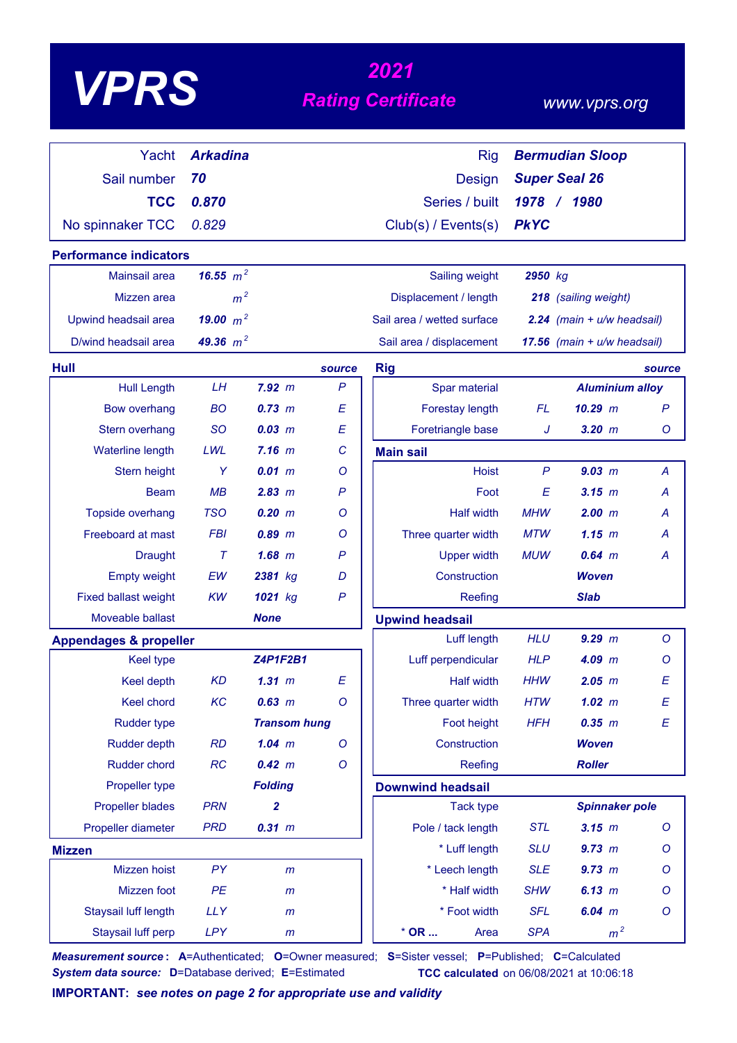| <b>/PR</b> |
|------------|
|------------|

# *<sup>2021</sup> VPRS Rating Certificate*

#### *www.vprs.org*

|                                   | <b>Arkadina</b> |                     |              |                            |              |                               |              |
|-----------------------------------|-----------------|---------------------|--------------|----------------------------|--------------|-------------------------------|--------------|
| Yacht                             |                 |                     |              | <b>Rig</b>                 |              | <b>Bermudian Sloop</b>        |              |
| Sail number                       | 70              |                     |              | <b>Design</b>              |              | <b>Super Seal 26</b>          |              |
| <b>TCC</b>                        | 0.870           |                     |              | Series / built             | $1978$ /     | 1980                          |              |
| No spinnaker TCC                  | 0.829           |                     |              | Club(s) / Events(s)        | <b>PkYC</b>  |                               |              |
| <b>Performance indicators</b>     |                 |                     |              |                            |              |                               |              |
| <b>Mainsail area</b>              | 16.55 $m^2$     |                     |              | Sailing weight             | 2950 kg      |                               |              |
| Mizzen area                       | m <sup>2</sup>  |                     |              | Displacement / length      |              | 218 (sailing weight)          |              |
| Upwind headsail area              | 19.00 $m^2$     |                     |              | Sail area / wetted surface |              | 2.24 (main + u/w headsail)    |              |
| D/wind headsail area              | 49.36 $m^2$     |                     |              | Sail area / displacement   |              | 17.56 (main $+ u/w$ headsail) |              |
| Hull                              |                 |                     | source       | <b>Rig</b>                 |              |                               | source       |
| <b>Hull Length</b>                | LH              | 7.92 m              | $\mathsf{P}$ | Spar material              |              | <b>Aluminium alloy</b>        |              |
| <b>Bow overhang</b>               | <b>BO</b>       | $0.73 \, m$         | E            | Forestay length            | <b>FL</b>    | $10.29$ m                     | $\mathsf{P}$ |
| Stern overhang                    | <b>SO</b>       | $0.03$ $m$          | E            | Foretriangle base          | J            | $3.20$ $m$                    | Ο            |
| <b>Waterline length</b>           | LWL             | 7.16 m              | C            | <b>Main sail</b>           |              |                               |              |
| Stern height                      | Y               | 0.01 m              | Ο            | <b>Hoist</b>               | $\mathsf{P}$ | 9.03 m                        | A            |
| <b>Beam</b>                       | MB              | 2.83 m              | $\mathsf{P}$ | Foot                       | E            | 3.15 m                        | А            |
| Topside overhang                  | <b>TSO</b>      | 0.20 m              | Ο            | <b>Half width</b>          | <b>MHW</b>   | 2.00 m                        | А            |
| Freeboard at mast                 | <b>FBI</b>      | $0.89$ $m$          | O            | Three quarter width        | <b>MTW</b>   | 1.15~m                        | А            |
| <b>Draught</b>                    | $\tau$          | $1.68$ m            | P            | <b>Upper width</b>         | <b>MUW</b>   | $0.64$ m                      | Α            |
| <b>Empty weight</b>               | EW              | 2381 kg             | D            | Construction               |              | <b>Woven</b>                  |              |
| <b>Fixed ballast weight</b>       | <b>KW</b>       | 1021 kg             | $\mathsf{P}$ | Reefing                    |              | <b>Slab</b>                   |              |
| Moveable ballast                  |                 | <b>None</b>         |              | <b>Upwind headsail</b>     |              |                               |              |
| <b>Appendages &amp; propeller</b> |                 |                     |              | Luff length                | <b>HLU</b>   | 9.29 m                        | $\circ$      |
| <b>Keel type</b>                  |                 | <b>Z4P1F2B1</b>     |              | Luff perpendicular         | <b>HLP</b>   | $4.09$ m                      | Ο            |
| <b>Keel depth</b>                 | <b>KD</b>       | $1.31$ $m$          | E            | <b>Half width</b>          | <b>HHW</b>   | $2.05$ $m$                    | E            |
| Keel chord                        | KC              | $0.63$ m            | $\circ$      | Three quarter width        | <b>HTW</b>   | $1.02$ m                      | Ε            |
| <b>Rudder type</b>                |                 | <b>Transom hung</b> |              | Foot height                | <b>HFH</b>   | 0.35 m                        | E            |
| <b>Rudder depth</b>               | <b>RD</b>       | $1.04$ m            | $\circ$      | Construction               |              | <b>Woven</b>                  |              |
| Rudder chord                      | RC              | 0.42 m              | $\circ$      | Reefing                    |              | <b>Roller</b>                 |              |
| Propeller type                    |                 | <b>Folding</b>      |              | <b>Downwind headsail</b>   |              |                               |              |
| <b>Propeller blades</b>           | <b>PRN</b>      | $\mathbf{2}$        |              | <b>Tack type</b>           |              | <b>Spinnaker pole</b>         |              |
| Propeller diameter                | <b>PRD</b>      | 0.31 m              |              | Pole / tack length         | <b>STL</b>   | $3.15$ m                      | O            |
| <b>Mizzen</b>                     |                 |                     |              | * Luff length              | <b>SLU</b>   | 9.73 m                        | O            |
| Mizzen hoist                      | PY              | m                   |              | * Leech length             | <b>SLE</b>   | 9.73 m                        | O            |
| Mizzen foot                       | PE              | $\mathsf{m}$        |              | * Half width               | <b>SHW</b>   | 6.13 m                        | O            |
| Staysail luff length              | <b>LLY</b>      | $\mathsf{m}$        |              | * Foot width               | <b>SFL</b>   | $6.04$ m                      | O            |
| Staysail luff perp                | <b>LPY</b>      | $\mathsf{m}$        |              | $*$ OR<br>Area             | <b>SPA</b>   | m <sup>2</sup>                |              |

*Measurement source* **: A**=Authenticated; **O**=Owner measured; **S**=Sister vessel; **P**=Published; **C**=Calculated *System data source:* **D**=Database derived; **E**=Estimated **TCC calculated** on 06/08/2021 at 10:06:18

**IMPORTANT:** *see notes on page 2 for appropriate use and validity*